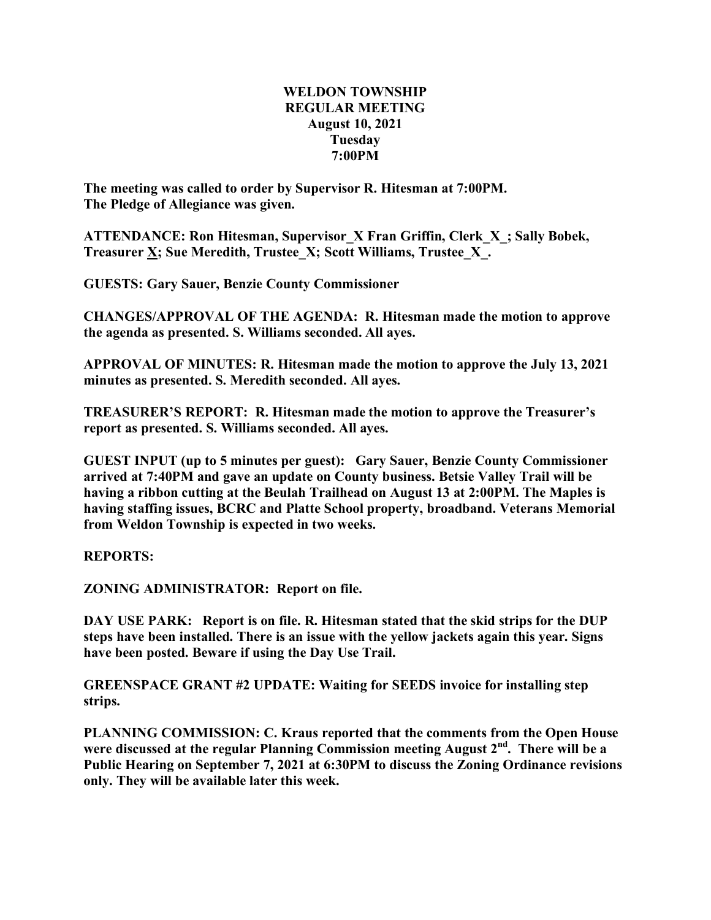## **WELDON TOWNSHIP REGULAR MEETING August 10, 2021 Tuesday 7:00PM**

**The meeting was called to order by Supervisor R. Hitesman at 7:00PM. The Pledge of Allegiance was given.**

**ATTENDANCE: Ron Hitesman, Supervisor\_X Fran Griffin, Clerk\_X\_; Sally Bobek, Treasurer X; Sue Meredith, Trustee\_X; Scott Williams, Trustee\_X\_.**

**GUESTS: Gary Sauer, Benzie County Commissioner**

**CHANGES/APPROVAL OF THE AGENDA: R. Hitesman made the motion to approve the agenda as presented. S. Williams seconded. All ayes.**

**APPROVAL OF MINUTES: R. Hitesman made the motion to approve the July 13, 2021 minutes as presented. S. Meredith seconded. All ayes.**

**TREASURER'S REPORT: R. Hitesman made the motion to approve the Treasurer's report as presented. S. Williams seconded. All ayes.**

**GUEST INPUT (up to 5 minutes per guest): Gary Sauer, Benzie County Commissioner arrived at 7:40PM and gave an update on County business. Betsie Valley Trail will be having a ribbon cutting at the Beulah Trailhead on August 13 at 2:00PM. The Maples is having staffing issues, BCRC and Platte School property, broadband. Veterans Memorial from Weldon Township is expected in two weeks.**

**REPORTS:**

**ZONING ADMINISTRATOR: Report on file.**

**DAY USE PARK: Report is on file. R. Hitesman stated that the skid strips for the DUP steps have been installed. There is an issue with the yellow jackets again this year. Signs have been posted. Beware if using the Day Use Trail.**

**GREENSPACE GRANT #2 UPDATE: Waiting for SEEDS invoice for installing step strips.**

**PLANNING COMMISSION: C. Kraus reported that the comments from the Open House were discussed at the regular Planning Commission meeting August 2nd . There will be a Public Hearing on September 7, 2021 at 6:30PM to discuss the Zoning Ordinance revisions only. They will be available later this week.**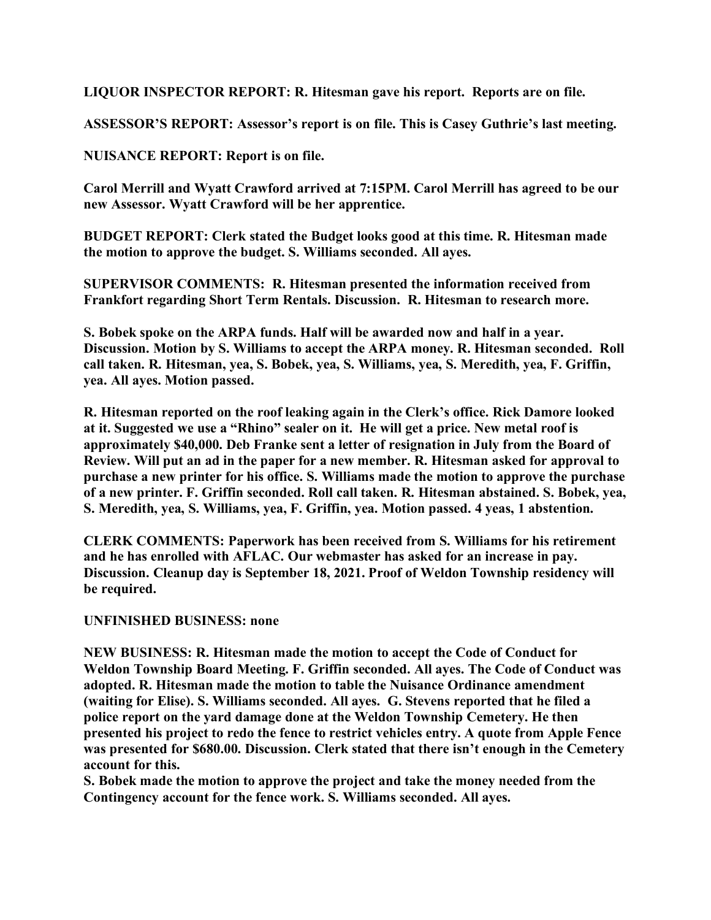**LIQUOR INSPECTOR REPORT: R. Hitesman gave his report. Reports are on file.**

**ASSESSOR'S REPORT: Assessor's report is on file. This is Casey Guthrie's last meeting.**

**NUISANCE REPORT: Report is on file.**

**Carol Merrill and Wyatt Crawford arrived at 7:15PM. Carol Merrill has agreed to be our new Assessor. Wyatt Crawford will be her apprentice.**

**BUDGET REPORT: Clerk stated the Budget looks good at this time. R. Hitesman made the motion to approve the budget. S. Williams seconded. All ayes.**

**SUPERVISOR COMMENTS: R. Hitesman presented the information received from Frankfort regarding Short Term Rentals. Discussion. R. Hitesman to research more.**

**S. Bobek spoke on the ARPA funds. Half will be awarded now and half in a year. Discussion. Motion by S. Williams to accept the ARPA money. R. Hitesman seconded. Roll call taken. R. Hitesman, yea, S. Bobek, yea, S. Williams, yea, S. Meredith, yea, F. Griffin, yea. All ayes. Motion passed.**

**R. Hitesman reported on the roof leaking again in the Clerk's office. Rick Damore looked at it. Suggested we use a "Rhino" sealer on it. He will get a price. New metal roof is approximately \$40,000. Deb Franke sent a letter of resignation in July from the Board of Review. Will put an ad in the paper for a new member. R. Hitesman asked for approval to purchase a new printer for his office. S. Williams made the motion to approve the purchase of a new printer. F. Griffin seconded. Roll call taken. R. Hitesman abstained. S. Bobek, yea, S. Meredith, yea, S. Williams, yea, F. Griffin, yea. Motion passed. 4 yeas, 1 abstention.**

**CLERK COMMENTS: Paperwork has been received from S. Williams for his retirement and he has enrolled with AFLAC. Our webmaster has asked for an increase in pay. Discussion. Cleanup day is September 18, 2021. Proof of Weldon Township residency will be required.**

## **UNFINISHED BUSINESS: none**

**NEW BUSINESS: R. Hitesman made the motion to accept the Code of Conduct for Weldon Township Board Meeting. F. Griffin seconded. All ayes. The Code of Conduct was adopted. R. Hitesman made the motion to table the Nuisance Ordinance amendment (waiting for Elise). S. Williams seconded. All ayes. G. Stevens reported that he filed a police report on the yard damage done at the Weldon Township Cemetery. He then presented his project to redo the fence to restrict vehicles entry. A quote from Apple Fence was presented for \$680.00. Discussion. Clerk stated that there isn't enough in the Cemetery account for this.**

**S. Bobek made the motion to approve the project and take the money needed from the Contingency account for the fence work. S. Williams seconded. All ayes.**